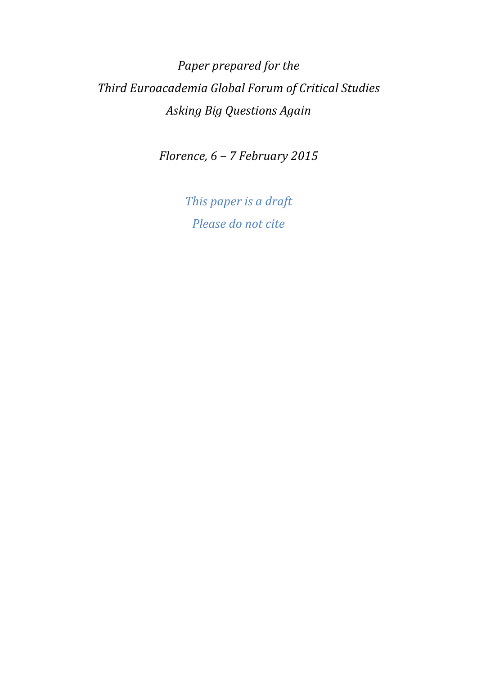# *Paper prepared for the Third Euroacademia Global Forum of Critical Studies Asking Big Questions Again*

*Florence, 6 – 7 February 2015* 

*This paper is a draft Please do not cite*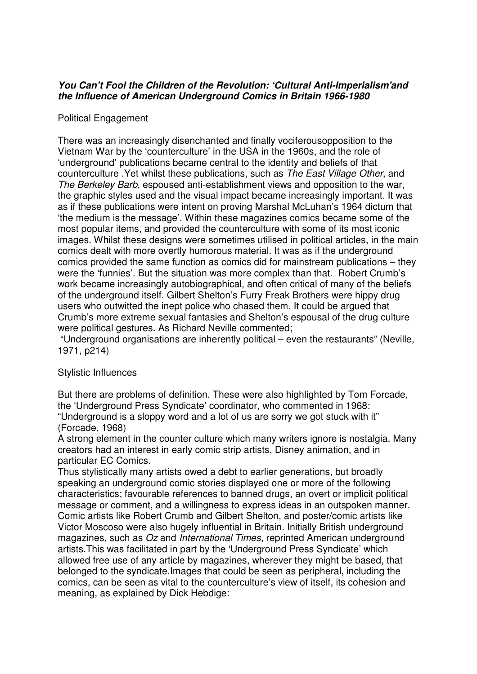## **You Can't Fool the Children of the Revolution: 'Cultural Anti-Imperialism'and the Influence of American Underground Comics in Britain 1966-1980**

## Political Engagement

There was an increasingly disenchanted and finally vociferousopposition to the Vietnam War by the 'counterculture' in the USA in the 1960s, and the role of 'underground' publications became central to the identity and beliefs of that counterculture .Yet whilst these publications, such as The East Village Other, and The Berkeley Barb, espoused anti-establishment views and opposition to the war, the graphic styles used and the visual impact became increasingly important. It was as if these publications were intent on proving Marshal McLuhan's 1964 dictum that 'the medium is the message'. Within these magazines comics became some of the most popular items, and provided the counterculture with some of its most iconic images. Whilst these designs were sometimes utilised in political articles, in the main comics dealt with more overtly humorous material. It was as if the underground comics provided the same function as comics did for mainstream publications – they were the 'funnies'. But the situation was more complex than that. Robert Crumb's work became increasingly autobiographical, and often critical of many of the beliefs of the underground itself. Gilbert Shelton's Furry Freak Brothers were hippy drug users who outwitted the inept police who chased them. It could be argued that Crumb's more extreme sexual fantasies and Shelton's espousal of the drug culture were political gestures. As Richard Neville commented;

 "Underground organisations are inherently political – even the restaurants" (Neville, 1971, p214)

### Stylistic Influences

But there are problems of definition. These were also highlighted by Tom Forcade, the 'Underground Press Syndicate' coordinator, who commented in 1968: "Underground is a sloppy word and a lot of us are sorry we got stuck with it" (Forcade, 1968)

A strong element in the counter culture which many writers ignore is nostalgia. Many creators had an interest in early comic strip artists, Disney animation, and in particular EC Comics.

Thus stylistically many artists owed a debt to earlier generations, but broadly speaking an underground comic stories displayed one or more of the following characteristics; favourable references to banned drugs, an overt or implicit political message or comment, and a willingness to express ideas in an outspoken manner. Comic artists like Robert Crumb and Gilbert Shelton, and poster/comic artists like Victor Moscoso were also hugely influential in Britain. Initially British underground magazines, such as Oz and International Times, reprinted American underground artists.This was facilitated in part by the 'Underground Press Syndicate' which allowed free use of any article by magazines, wherever they might be based, that belonged to the syndicate.Images that could be seen as peripheral, including the comics, can be seen as vital to the counterculture's view of itself, its cohesion and meaning, as explained by Dick Hebdige: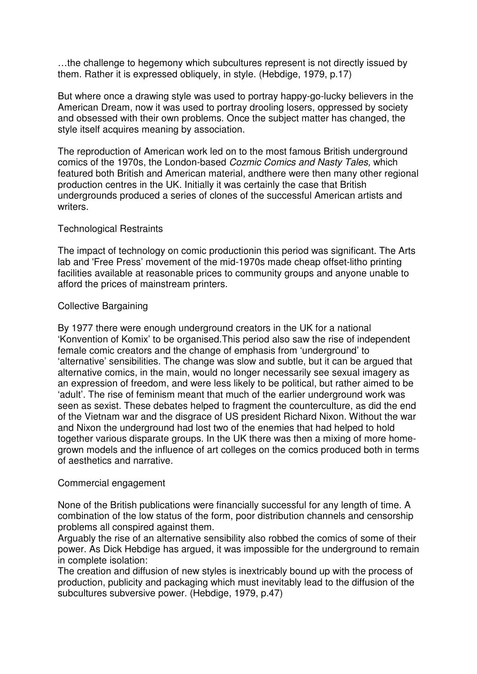…the challenge to hegemony which subcultures represent is not directly issued by them. Rather it is expressed obliquely, in style. (Hebdige, 1979, p.17)

But where once a drawing style was used to portray happy-go-lucky believers in the American Dream, now it was used to portray drooling losers, oppressed by society and obsessed with their own problems. Once the subject matter has changed, the style itself acquires meaning by association.

The reproduction of American work led on to the most famous British underground comics of the 1970s, the London-based Cozmic Comics and Nasty Tales, which featured both British and American material, andthere were then many other regional production centres in the UK. Initially it was certainly the case that British undergrounds produced a series of clones of the successful American artists and writers.

### Technological Restraints

The impact of technology on comic productionin this period was significant. The Arts lab and 'Free Press' movement of the mid-1970s made cheap offset-litho printing facilities available at reasonable prices to community groups and anyone unable to afford the prices of mainstream printers.

### Collective Bargaining

By 1977 there were enough underground creators in the UK for a national 'Konvention of Komix' to be organised.This period also saw the rise of independent female comic creators and the change of emphasis from 'underground' to 'alternative' sensibilities. The change was slow and subtle, but it can be argued that alternative comics, in the main, would no longer necessarily see sexual imagery as an expression of freedom, and were less likely to be political, but rather aimed to be 'adult'. The rise of feminism meant that much of the earlier underground work was seen as sexist. These debates helped to fragment the counterculture, as did the end of the Vietnam war and the disgrace of US president Richard Nixon. Without the war and Nixon the underground had lost two of the enemies that had helped to hold together various disparate groups. In the UK there was then a mixing of more homegrown models and the influence of art colleges on the comics produced both in terms of aesthetics and narrative.

### Commercial engagement

None of the British publications were financially successful for any length of time. A combination of the low status of the form, poor distribution channels and censorship problems all conspired against them.

Arguably the rise of an alternative sensibility also robbed the comics of some of their power. As Dick Hebdige has argued, it was impossible for the underground to remain in complete isolation:

The creation and diffusion of new styles is inextricably bound up with the process of production, publicity and packaging which must inevitably lead to the diffusion of the subcultures subversive power. (Hebdige, 1979, p.47)